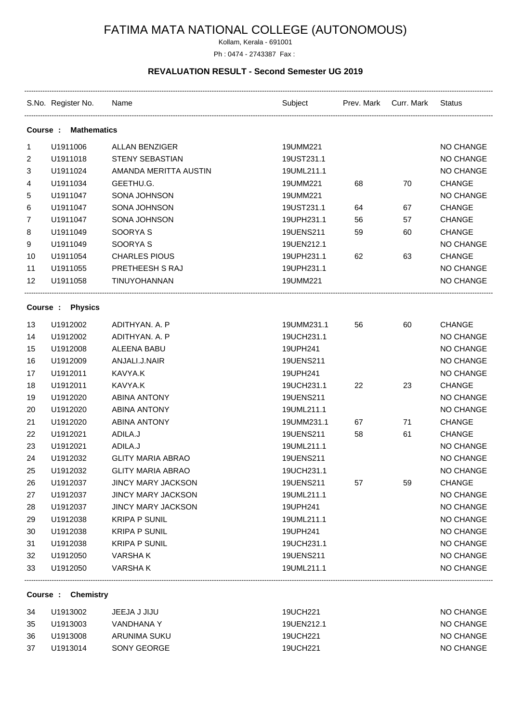# FATIMA MATA NATIONAL COLLEGE (AUTONOMOUS)

Kollam, Kerala - 691001

## Ph : 0474 - 2743387 Fax :

### **REVALUATION RESULT - Second Semester UG 2019**

|                               | S.No. Register No. Name |                           | Subject Prev. Mark Curr. Mark |    |    | Status        |
|-------------------------------|-------------------------|---------------------------|-------------------------------|----|----|---------------|
| <b>Mathematics</b><br>Course: |                         |                           |                               |    |    |               |
| 1                             | U1911006                | <b>ALLAN BENZIGER</b>     | 19UMM221                      |    |    | NO CHANGE     |
| 2                             | U1911018                | <b>STENY SEBASTIAN</b>    | 19UST231.1                    |    |    | NO CHANGE     |
| 3                             | U1911024                | AMANDA MERITTA AUSTIN     | 19UML211.1                    |    |    | NO CHANGE     |
| 4                             | U1911034                | GEETHU.G.                 | 19UMM221                      | 68 | 70 | <b>CHANGE</b> |
| 5                             | U1911047                | SONA JOHNSON              | 19UMM221                      |    |    | NO CHANGE     |
| 6                             | U1911047                | SONA JOHNSON              | 19UST231.1                    | 64 | 67 | <b>CHANGE</b> |
| $\overline{7}$                | U1911047                | SONA JOHNSON              | 19UPH231.1                    | 56 | 57 | <b>CHANGE</b> |
| 8                             | U1911049                | SOORYA S                  | 19UENS211                     | 59 | 60 | <b>CHANGE</b> |
| 9                             | U1911049                | SOORYA <sub>S</sub>       | 19UEN212.1                    |    |    | NO CHANGE     |
| 10                            | U1911054                | <b>CHARLES PIOUS</b>      | 19UPH231.1                    | 62 | 63 | <b>CHANGE</b> |
| 11                            | U1911055                | PRETHEESH S RAJ           | 19UPH231.1                    |    |    | NO CHANGE     |
| 12                            | U1911058                | TINUYOHANNAN              | 19UMM221                      |    |    | NO CHANGE     |
|                               | Course : Physics        |                           |                               |    |    |               |
| 13                            | U1912002                | ADITHYAN. A. P            | 19UMM231.1                    | 56 | 60 | <b>CHANGE</b> |
| 14                            | U1912002                | ADITHYAN. A. P            | 19UCH231.1                    |    |    | NO CHANGE     |
| 15                            | U1912008                | ALEENA BABU               | 19UPH241                      |    |    | NO CHANGE     |
| 16                            | U1912009                | ANJALI.J.NAIR             | 19UENS211                     |    |    | NO CHANGE     |
| 17                            | U1912011                | KAVYA.K                   | 19UPH241                      |    |    | NO CHANGE     |
| 18                            | U1912011                | KAVYA.K                   | 19UCH231.1                    | 22 | 23 | <b>CHANGE</b> |
| 19                            | U1912020                | <b>ABINA ANTONY</b>       | 19UENS211                     |    |    | NO CHANGE     |
| 20                            | U1912020                | <b>ABINA ANTONY</b>       | 19UML211.1                    |    |    | NO CHANGE     |
| 21                            | U1912020                | <b>ABINA ANTONY</b>       | 19UMM231.1                    | 67 | 71 | <b>CHANGE</b> |
| 22                            | U1912021                | ADILA.J                   | 19UENS211                     | 58 | 61 | <b>CHANGE</b> |
| 23                            | U1912021                | ADILA.J                   | 19UML211.1                    |    |    | NO CHANGE     |
| 24                            | U1912032                | <b>GLITY MARIA ABRAO</b>  | 19UENS211                     |    |    | NO CHANGE     |
| 25                            | U1912032                | <b>GLITY MARIA ABRAO</b>  | 19UCH231.1                    |    |    | NO CHANGE     |
| 26                            | U1912037                | <b>JINCY MARY JACKSON</b> | 19UENS211                     | 57 | 59 | <b>CHANGE</b> |
| 27                            | U1912037                | <b>JINCY MARY JACKSON</b> | 19UML211.1                    |    |    | NO CHANGE     |
| 28                            | U1912037                | <b>JINCY MARY JACKSON</b> | 19UPH241                      |    |    | NO CHANGE     |
| 29                            | U1912038                | <b>KRIPA P SUNIL</b>      | 19UML211.1                    |    |    | NO CHANGE     |
| 30                            | U1912038                | <b>KRIPA P SUNIL</b>      | 19UPH241                      |    |    | NO CHANGE     |
| 31                            | U1912038                | <b>KRIPA P SUNIL</b>      | 19UCH231.1                    |    |    | NO CHANGE     |
| 32                            | U1912050                | VARSHA K                  | 19UENS211                     |    |    | NO CHANGE     |
| 33                            | U1912050                | <b>VARSHAK</b>            | 19UML211.1                    |    |    | NO CHANGE     |

#### **Course : Chemistry**

| -34 | U1913002 | JEEJA J JIJU | 19UCH221   | NO CHANGE |
|-----|----------|--------------|------------|-----------|
| -35 | U1913003 | VANDHANA Y   | 19UEN212.1 | NO CHANGE |
| -36 | U1913008 | ARUNIMA SUKU | 19UCH221   | NO CHANGE |
| -37 | U1913014 | SONY GEORGE  | 19UCH221   | NO CHANGE |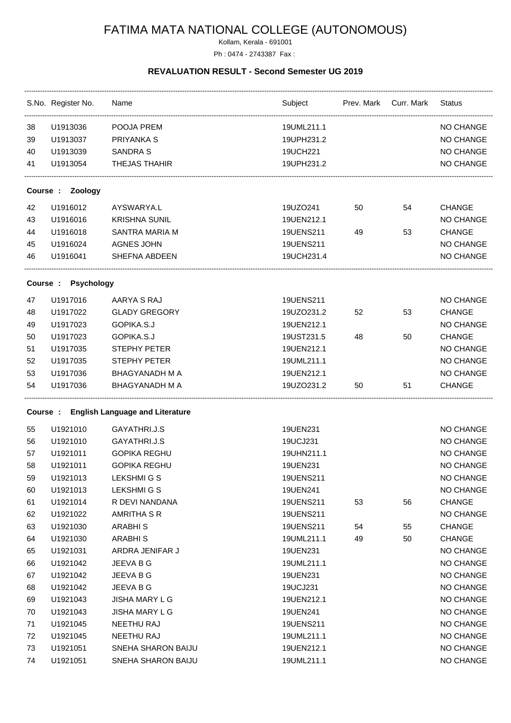# FATIMA MATA NATIONAL COLLEGE (AUTONOMOUS)

Kollam, Kerala - 691001

#### Ph : 0474 - 2743387 Fax :

### **REVALUATION RESULT - Second Semester UG 2019**

|    | S.No. Register No.           | Name                                    | Subject Prev. Mark Curr. Mark |    |    | <b>Status</b>    |  |  |
|----|------------------------------|-----------------------------------------|-------------------------------|----|----|------------------|--|--|
| 38 | U1913036                     | POOJA PREM                              | 19UML211.1                    |    |    | <b>NO CHANGE</b> |  |  |
| 39 | U1913037                     | PRIYANKA S                              | 19UPH231.2                    |    |    | NO CHANGE        |  |  |
| 40 | U1913039                     | <b>SANDRA S</b>                         | 19UCH221                      |    |    | NO CHANGE        |  |  |
| 41 | U1913054                     | <b>THEJAS THAHIR</b>                    | 19UPH231.2                    |    |    | NO CHANGE        |  |  |
|    | Zoology<br>Course :          |                                         |                               |    |    |                  |  |  |
| 42 | U1916012                     | AYSWARYA.L                              | 19UZO241                      | 50 | 54 | <b>CHANGE</b>    |  |  |
| 43 | U1916016                     | <b>KRISHNA SUNIL</b>                    | 19UEN212.1                    |    |    | NO CHANGE        |  |  |
| 44 | U1916018                     | <b>SANTRA MARIA M</b>                   | 19UENS211                     | 49 | 53 | <b>CHANGE</b>    |  |  |
| 45 | U1916024                     | <b>AGNES JOHN</b>                       | 19UENS211                     |    |    | NO CHANGE        |  |  |
| 46 | U1916041                     | SHEFNA ABDEEN                           | 19UCH231.4                    |    |    | NO CHANGE        |  |  |
|    | Course:<br><b>Psychology</b> |                                         |                               |    |    |                  |  |  |
| 47 | U1917016                     | AARYA S RAJ                             | 19UENS211                     |    |    | NO CHANGE        |  |  |
| 48 | U1917022                     | <b>GLADY GREGORY</b>                    | 19UZO231.2                    | 52 | 53 | <b>CHANGE</b>    |  |  |
| 49 | U1917023                     | GOPIKA.S.J                              | 19UEN212.1                    |    |    | NO CHANGE        |  |  |
| 50 | U1917023                     | GOPIKA.S.J                              | 19UST231.5                    | 48 | 50 | <b>CHANGE</b>    |  |  |
| 51 | U1917035                     | STEPHY PETER                            | 19UEN212.1                    |    |    | NO CHANGE        |  |  |
| 52 | U1917035                     | STEPHY PETER                            | 19UML211.1                    |    |    | <b>NO CHANGE</b> |  |  |
| 53 | U1917036                     | <b>BHAGYANADH M A</b>                   | 19UEN212.1                    |    |    | <b>NO CHANGE</b> |  |  |
| 54 | U1917036                     | <b>BHAGYANADH M A</b>                   | 19UZO231.2                    | 50 | 51 | <b>CHANGE</b>    |  |  |
|    |                              | Course: English Language and Literature |                               |    |    |                  |  |  |
| 55 | U1921010                     | GAYATHRI.J.S                            | 19UEN231                      |    |    | NO CHANGE        |  |  |
| 56 | U1921010                     | GAYATHRI.J.S                            | 19UCJ231                      |    |    | NO CHANGE        |  |  |
| 57 | U1921011                     | <b>GOPIKA REGHU</b>                     | 19UHN211.1                    |    |    | NO CHANGE        |  |  |
| 58 | U1921011                     | <b>GOPIKA REGHU</b>                     | 19UEN231                      |    |    | <b>NO CHANGE</b> |  |  |
| 59 | U1921013                     | <b>LEKSHMI G S</b>                      | 19UENS211                     |    |    | NO CHANGE        |  |  |
| 60 | U1921013                     | <b>LEKSHMIGS</b>                        | 19UEN241                      |    |    | NO CHANGE        |  |  |
| 61 | U1921014                     | R DEVI NANDANA                          | 19UENS211                     | 53 | 56 | <b>CHANGE</b>    |  |  |
| 62 | U1921022                     | AMRITHA S R                             | 19UENS211                     |    |    | <b>NO CHANGE</b> |  |  |
| 63 | U1921030                     | ARABHI <sub>S</sub>                     | 19UENS211                     | 54 | 55 | <b>CHANGE</b>    |  |  |
| 64 | U1921030                     | <b>ARABHIS</b>                          | 19UML211.1                    | 49 | 50 | <b>CHANGE</b>    |  |  |
| 65 | U1921031                     | ARDRA JENIFAR J                         | 19UEN231                      |    |    | <b>NO CHANGE</b> |  |  |
| 66 | U1921042                     | JEEVA B G                               | 19UML211.1                    |    |    | <b>NO CHANGE</b> |  |  |
| 67 | U1921042                     | JEEVA B G                               | 19UEN231                      |    |    | NO CHANGE        |  |  |
| 68 | U1921042                     | JEEVA B G                               | 19UCJ231                      |    |    | NO CHANGE        |  |  |
| 69 | U1921043                     | <b>JISHA MARY L G</b>                   | 19UEN212.1                    |    |    | NO CHANGE        |  |  |
|    | U1921043                     | <b>JISHA MARY L G</b>                   | 19UEN241                      |    |    | NO CHANGE        |  |  |
| 70 |                              |                                         |                               |    |    |                  |  |  |
| 71 | U1921045                     | NEETHU RAJ                              | 19UENS211                     |    |    | NO CHANGE        |  |  |
| 72 | U1921045                     | NEETHU RAJ                              | 19UML211.1                    |    |    | NO CHANGE        |  |  |
| 73 | U1921051                     | SNEHA SHARON BAIJU                      | 19UEN212.1                    |    |    | <b>NO CHANGE</b> |  |  |
| 74 | U1921051                     | SNEHA SHARON BAIJU                      | 19UML211.1                    |    |    | NO CHANGE        |  |  |